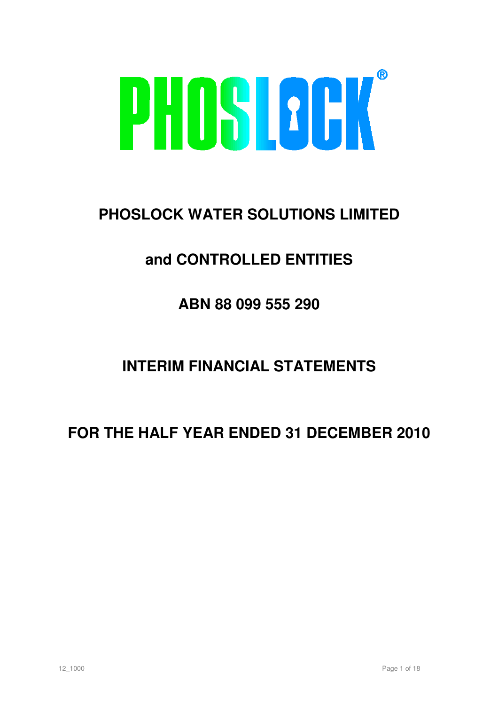

# **PHOSLOCK WATER SOLUTIONS LIMITED**

# **and CONTROLLED ENTITIES**

# **ABN 88 099 555 290**

# **INTERIM FINANCIAL STATEMENTS**

# **FOR THE HALF YEAR ENDED 31 DECEMBER 2010**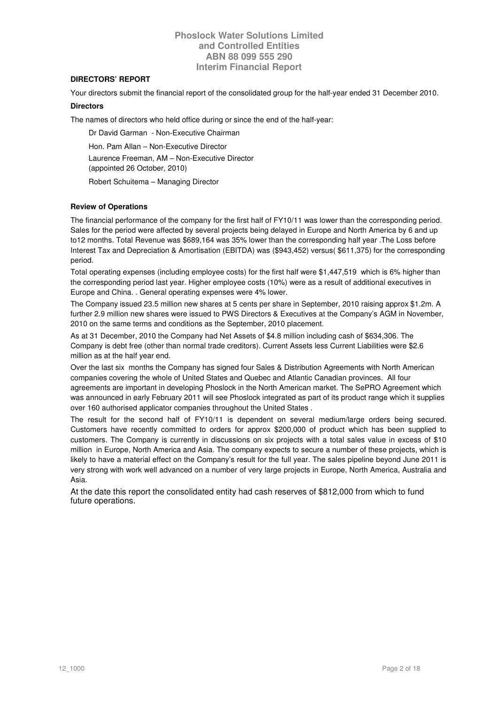## **DIRECTORS' REPORT**

Your directors submit the financial report of the consolidated group for the half-year ended 31 December 2010.

#### **Directors**

The names of directors who held office during or since the end of the half-year:

 Dr David Garman - Non-Executive Chairman Hon. Pam Allan – Non-Executive Director Laurence Freeman, AM – Non-Executive Director (appointed 26 October, 2010)

Robert Schuitema – Managing Director

## **Review of Operations**

The financial performance of the company for the first half of FY10/11 was lower than the corresponding period. Sales for the period were affected by several projects being delayed in Europe and North America by 6 and up to12 months. Total Revenue was \$689,164 was 35% lower than the corresponding half year .The Loss before Interest Tax and Depreciation & Amortisation (EBITDA) was (\$943,452) versus( \$611,375) for the corresponding period.

Total operating expenses (including employee costs) for the first half were \$1,447,519 which is 6% higher than the corresponding period last year. Higher employee costs (10%) were as a result of additional executives in Europe and China. . General operating expenses were 4% lower.

The Company issued 23.5 million new shares at 5 cents per share in September, 2010 raising approx \$1.2m. A further 2.9 million new shares were issued to PWS Directors & Executives at the Company's AGM in November, 2010 on the same terms and conditions as the September, 2010 placement.

As at 31 December, 2010 the Company had Net Assets of \$4.8 million including cash of \$634,306. The Company is debt free (other than normal trade creditors). Current Assets less Current Liabilities were \$2.6 million as at the half year end.

Over the last six months the Company has signed four Sales & Distribution Agreements with North American companies covering the whole of United States and Quebec and Atlantic Canadian provinces. All four agreements are important in developing Phoslock in the North American market. The SePRO Agreement which was announced in early February 2011 will see Phoslock integrated as part of its product range which it supplies over 160 authorised applicator companies throughout the United States .

The result for the second half of FY10/11 is dependent on several medium/large orders being secured. Customers have recently committed to orders for approx \$200,000 of product which has been supplied to customers. The Company is currently in discussions on six projects with a total sales value in excess of \$10 million in Europe, North America and Asia. The company expects to secure a number of these projects, which is likely to have a material effect on the Company's result for the full year. The sales pipeline beyond June 2011 is very strong with work well advanced on a number of very large projects in Europe, North America, Australia and Asia.

At the date this report the consolidated entity had cash reserves of \$812,000 from which to fund future operations.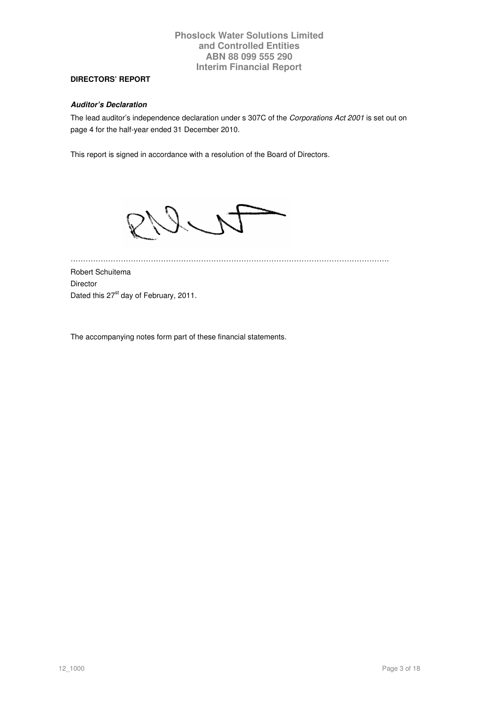# **DIRECTORS' REPORT**

### **Auditor's Declaration**

The lead auditor's independence declaration under s 307C of the Corporations Act 2001 is set out on page 4 for the half-year ended 31 December 2010.

This report is signed in accordance with a resolution of the Board of Directors.



………………………………………………………………………………………………………………. Robert Schuitema Director Dated this 27<sup>st</sup> day of February, 2011.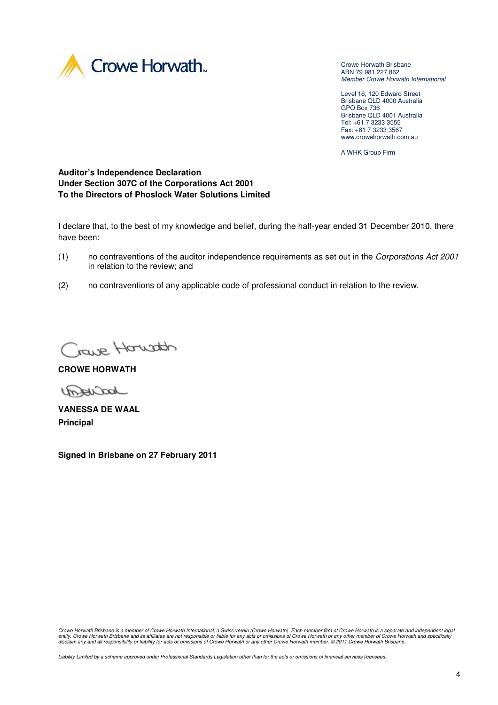

Crowe Horwath Brisbane ABN 79 981 227 862 Member Crowe Horwath International

Level 16, 120 Edward Street Brisbane QLD 4000 Australia GPO Box 736 Brisbane QLD 4001 Australia Tel: +61 7 3233 3555 Fax: +61 7 3233 3567 www.crowehorwath.com.au

A WHK Group Firm

**Auditor's Independence Declaration Under Section 307C of the Corporations Act 2001 To the Directors of Phoslock Water Solutions Limited** 

I declare that, to the best of my knowledge and belief, during the half-year ended 31 December 2010, there have been:

- (1) no contraventions of the auditor independence requirements as set out in the Corporations Act 2001 in relation to the review; and
- (2) no contraventions of any applicable code of professional conduct in relation to the review.

Crave Houston

**CROWE HORWATH** 

Joacreson

**VANESSA DE WAAL Principal** 

**Signed in Brisbane on 27 February 2011** 

Crowe Horwath Brisbane is a member of Crowe Horwath International, a Swiss verein (Crowe Horwath). Each member firm of Crowe Horwath is a separate and independent legal entity. Crowe Horwath Brisbane and its affiliates are not responsible or liable for any acts or omissions of Crowe Horwath or any other member of Crowe Horwath and specifically<br>disclaim any and all responsibility or liabil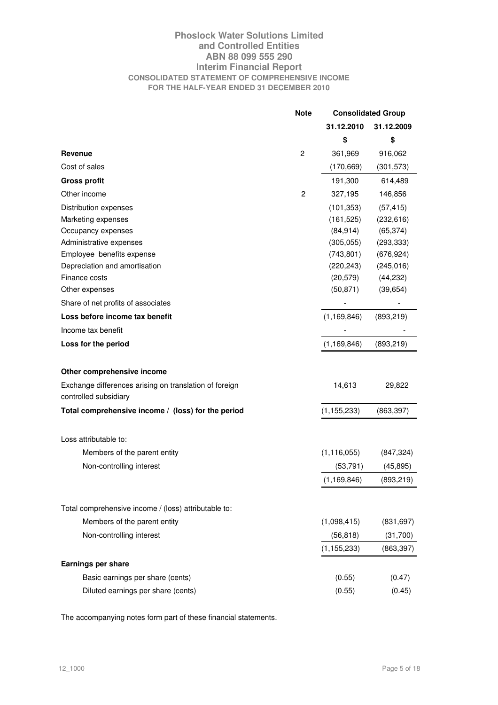## **Phoslock Water Solutions Limited and Controlled Entities ABN 88 099 555 290 Interim Financial Report CONSOLIDATED STATEMENT OF COMPREHENSIVE INCOME FOR THE HALF-YEAR ENDED 31 DECEMBER 2010**

|                                                        | <b>Note</b>    | <b>Consolidated Group</b> |            |
|--------------------------------------------------------|----------------|---------------------------|------------|
|                                                        |                | 31.12.2010                | 31.12.2009 |
|                                                        |                | \$                        | \$         |
| Revenue                                                | $\overline{2}$ | 361,969                   | 916,062    |
| Cost of sales                                          |                | (170, 669)                | (301, 573) |
| <b>Gross profit</b>                                    |                | 191,300                   | 614,489    |
| Other income                                           | $\overline{2}$ | 327,195                   | 146,856    |
| Distribution expenses                                  |                | (101, 353)                | (57, 415)  |
| Marketing expenses                                     |                | (161, 525)                | (232, 616) |
| Occupancy expenses                                     |                | (84, 914)                 | (65, 374)  |
| Administrative expenses                                |                | (305, 055)                | (293, 333) |
| Employee benefits expense                              |                | (743, 801)                | (676, 924) |
| Depreciation and amortisation                          |                | (220, 243)                | (245, 016) |
| Finance costs                                          |                | (20, 579)                 | (44, 232)  |
| Other expenses                                         |                | (50, 871)                 | (39, 654)  |
| Share of net profits of associates                     |                |                           |            |
| Loss before income tax benefit                         |                | (1, 169, 846)             | (893, 219) |
| Income tax benefit                                     |                |                           |            |
| Loss for the period                                    |                | (1, 169, 846)             | (893, 219) |
| Other comprehensive income                             |                |                           |            |
| Exchange differences arising on translation of foreign |                | 14,613                    | 29,822     |
| controlled subsidiary                                  |                |                           |            |
| Total comprehensive income / (loss) for the period     |                | (1, 155, 233)             | (863, 397) |
| Loss attributable to:                                  |                |                           |            |
| Members of the parent entity                           |                | (1, 116, 055)             | (847, 324) |
| Non-controlling interest                               |                | (53, 791)                 | (45, 895)  |
|                                                        |                | (1, 169, 846)             | (893, 219) |
| Total comprehensive income / (loss) attributable to:   |                |                           |            |
| Members of the parent entity                           |                | (1,098,415)               | (831, 697) |
| Non-controlling interest                               |                | (56, 818)                 | (31,700)   |
|                                                        |                | (1, 155, 233)             | (863, 397) |
| Earnings per share                                     |                |                           |            |
| Basic earnings per share (cents)                       |                | (0.55)                    | (0.47)     |
| Diluted earnings per share (cents)                     |                | (0.55)                    | (0.45)     |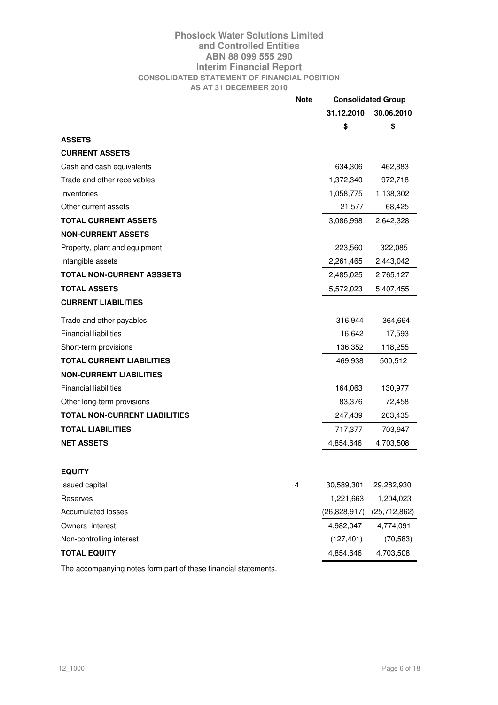## **Phoslock Water Solutions Limited and Controlled Entities ABN 88 099 555 290 Interim Financial Report CONSOLIDATED STATEMENT OF FINANCIAL POSITION AS AT 31 DECEMBER 2010**

|                                                                 | <b>Note</b> |                | <b>Consolidated Group</b> |
|-----------------------------------------------------------------|-------------|----------------|---------------------------|
|                                                                 |             | 31.12.2010     | 30.06.2010                |
|                                                                 |             | \$             | \$                        |
| <b>ASSETS</b>                                                   |             |                |                           |
| <b>CURRENT ASSETS</b>                                           |             |                |                           |
| Cash and cash equivalents                                       |             | 634,306        | 462,883                   |
| Trade and other receivables                                     |             | 1,372,340      | 972,718                   |
| Inventories                                                     |             | 1,058,775      | 1,138,302                 |
| Other current assets                                            |             | 21,577         | 68,425                    |
| <b>TOTAL CURRENT ASSETS</b>                                     |             | 3,086,998      | 2,642,328                 |
| <b>NON-CURRENT ASSETS</b>                                       |             |                |                           |
| Property, plant and equipment                                   |             | 223,560        | 322,085                   |
| Intangible assets                                               |             | 2,261,465      | 2,443,042                 |
| <b>TOTAL NON-CURRENT ASSSETS</b>                                |             | 2,485,025      | 2,765,127                 |
| <b>TOTAL ASSETS</b>                                             |             | 5,572,023      | 5,407,455                 |
| <b>CURRENT LIABILITIES</b>                                      |             |                |                           |
| Trade and other payables                                        |             | 316,944        | 364,664                   |
| <b>Financial liabilities</b>                                    |             | 16,642         | 17,593                    |
| Short-term provisions                                           |             | 136,352        | 118,255                   |
| <b>TOTAL CURRENT LIABILITIES</b>                                |             | 469,938        | 500,512                   |
| <b>NON-CURRENT LIABILITIES</b>                                  |             |                |                           |
| <b>Financial liabilities</b>                                    |             | 164,063        | 130,977                   |
| Other long-term provisions                                      |             | 83,376         | 72,458                    |
| <b>TOTAL NON-CURRENT LIABILITIES</b>                            |             | 247,439        | 203,435                   |
| <b>TOTAL LIABILITIES</b>                                        |             | 717,377        | 703,947                   |
| <b>NET ASSETS</b>                                               |             | 4,854,646      | 4,703,508                 |
|                                                                 |             |                |                           |
| <b>EQUITY</b>                                                   |             |                |                           |
| Issued capital                                                  | 4           | 30,589,301     | 29,282,930                |
| Reserves                                                        |             | 1,221,663      | 1,204,023                 |
| Accumulated losses                                              |             | (26, 828, 917) | (25, 712, 862)            |
| Owners interest                                                 |             | 4,982,047      | 4,774,091                 |
| Non-controlling interest                                        |             | (127, 401)     | (70, 583)                 |
| <b>TOTAL EQUITY</b>                                             |             | 4,854,646      | 4,703,508                 |
| The accompanying notes form part of these financial statements. |             |                |                           |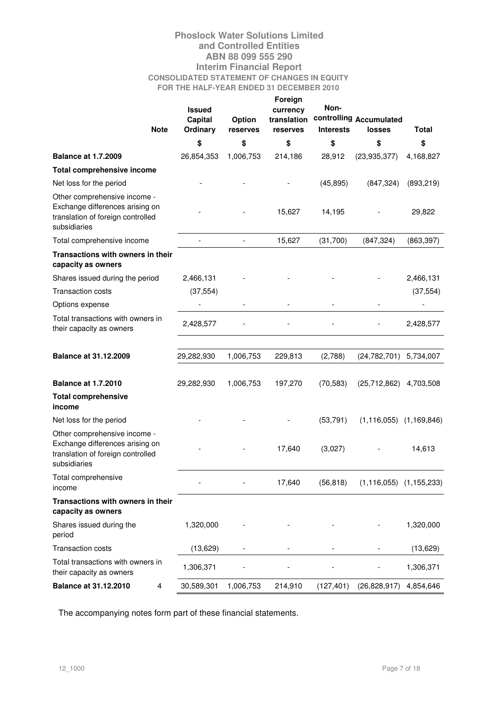## **Phoslock Water Solutions Limited and Controlled Entities ABN 88 099 555 290 Interim Financial Report CONSOLIDATED STATEMENT OF CHANGES IN EQUITY FOR THE HALF-YEAR ENDED 31 DECEMBER 2010 Foreign**

| <b>Note</b>                                                                                                          | <b>Issued</b><br><b>Capital</b><br>Ordinary | Option<br>reserves | ruleigil<br>currency<br>translation<br>reserves | Non-<br><b>Interests</b> | controlling Accumulated<br><b>losses</b> | <b>Total</b> |
|----------------------------------------------------------------------------------------------------------------------|---------------------------------------------|--------------------|-------------------------------------------------|--------------------------|------------------------------------------|--------------|
|                                                                                                                      | \$                                          | \$                 | \$                                              | \$                       | \$                                       | \$           |
| <b>Balance at 1.7.2009</b>                                                                                           | 26,854,353                                  | 1,006,753          | 214,186                                         | 28,912                   | (23, 935, 377)                           | 4,168,827    |
| Total comprehensive income                                                                                           |                                             |                    |                                                 |                          |                                          |              |
| Net loss for the period                                                                                              |                                             |                    |                                                 | (45, 895)                | (847, 324)                               | (893, 219)   |
| Other comprehensive income -<br>Exchange differences arising on<br>translation of foreign controlled<br>subsidiaries |                                             |                    | 15,627                                          | 14,195                   |                                          | 29,822       |
| Total comprehensive income                                                                                           |                                             |                    | 15,627                                          | (31,700)                 | (847, 324)                               | (863, 397)   |
| Transactions with owners in their<br>capacity as owners                                                              |                                             |                    |                                                 |                          |                                          |              |
| Shares issued during the period                                                                                      | 2,466,131                                   |                    |                                                 |                          |                                          | 2,466,131    |
| <b>Transaction costs</b>                                                                                             | (37, 554)                                   |                    |                                                 |                          |                                          | (37, 554)    |
| Options expense                                                                                                      |                                             |                    |                                                 |                          |                                          |              |
| Total transactions with owners in<br>their capacity as owners                                                        | 2,428,577                                   |                    |                                                 |                          |                                          | 2,428,577    |
| <b>Balance at 31.12.2009</b>                                                                                         | 29,282,930                                  | 1,006,753          | 229,813                                         | (2,788)                  | (24, 782, 701)                           | 5,734,007    |
| <b>Balance at 1.7.2010</b>                                                                                           | 29,282,930                                  | 1,006,753          | 197,270                                         | (70, 583)                | (25, 712, 862)                           | 4,703,508    |
| <b>Total comprehensive</b><br>income                                                                                 |                                             |                    |                                                 |                          |                                          |              |
| Net loss for the period                                                                                              |                                             |                    |                                                 | (53, 791)                | $(1, 116, 055)$ $(1, 169, 846)$          |              |
| Other comprehensive income -<br>Exchange differences arising on<br>translation of foreign controlled<br>subsidiaries |                                             |                    | 17,640                                          | (3,027)                  |                                          | 14,613       |
| Total comprehensive<br>income                                                                                        |                                             |                    | 17,640                                          | (56, 818)                | $(1, 116, 055)$ $(1, 155, 233)$          |              |
| Transactions with owners in their<br>capacity as owners                                                              |                                             |                    |                                                 |                          |                                          |              |
| Shares issued during the<br>period                                                                                   | 1,320,000                                   |                    |                                                 |                          |                                          | 1,320,000    |
| <b>Transaction costs</b>                                                                                             | (13,629)                                    |                    |                                                 |                          |                                          | (13,629)     |
| Total transactions with owners in<br>their capacity as owners                                                        | 1,306,371                                   |                    |                                                 |                          |                                          | 1,306,371    |
| <b>Balance at 31.12.2010</b><br>4                                                                                    | 30,589,301                                  | 1,006,753          | 214,910                                         | (127, 401)               | (26, 828, 917)                           | 4,854,646    |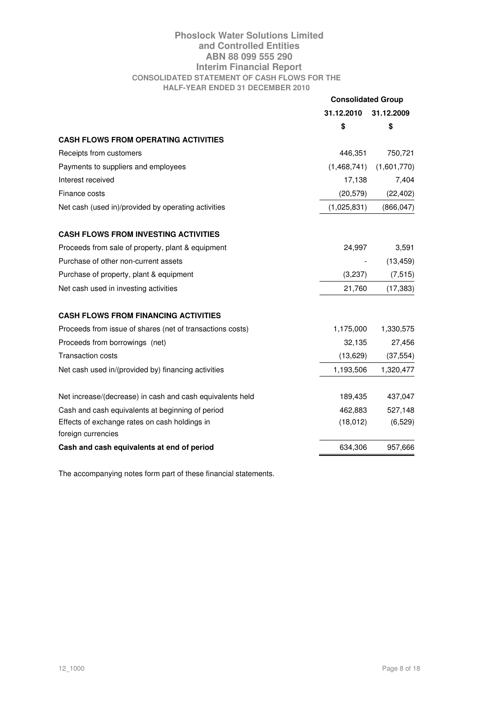## **Phoslock Water Solutions Limited and Controlled Entities ABN 88 099 555 290 Interim Financial Report CONSOLIDATED STATEMENT OF CASH FLOWS FOR THE HALF-YEAR ENDED 31 DECEMBER 2010**

|                                                           | <b>Consolidated Group</b> |             |
|-----------------------------------------------------------|---------------------------|-------------|
|                                                           | 31.12.2010                | 31.12.2009  |
|                                                           | \$                        | \$          |
| <b>CASH FLOWS FROM OPERATING ACTIVITIES</b>               |                           |             |
| Receipts from customers                                   | 446,351                   | 750,721     |
| Payments to suppliers and employees                       | (1,468,741)               | (1,601,770) |
| Interest received                                         | 17,138                    | 7,404       |
| Finance costs                                             | (20, 579)                 | (22, 402)   |
| Net cash (used in)/provided by operating activities       | (1,025,831)               | (866, 047)  |
| <b>CASH FLOWS FROM INVESTING ACTIVITIES</b>               |                           |             |
| Proceeds from sale of property, plant & equipment         | 24,997                    | 3,591       |
| Purchase of other non-current assets                      |                           | (13, 459)   |
| Purchase of property, plant & equipment                   | (3,237)                   | (7, 515)    |
| Net cash used in investing activities                     | 21,760                    | (17, 383)   |
| <b>CASH FLOWS FROM FINANCING ACTIVITIES</b>               |                           |             |
| Proceeds from issue of shares (net of transactions costs) | 1,175,000                 | 1,330,575   |
| Proceeds from borrowings (net)                            | 32,135                    | 27,456      |
| <b>Transaction costs</b>                                  | (13,629)                  | (37, 554)   |
| Net cash used in/(provided by) financing activities       | 1,193,506                 | 1,320,477   |
| Net increase/(decrease) in cash and cash equivalents held | 189,435                   | 437,047     |
| Cash and cash equivalents at beginning of period          | 462,883                   | 527,148     |
| Effects of exchange rates on cash holdings in             | (18,012)                  | (6,529)     |
| foreign currencies                                        |                           |             |
| Cash and cash equivalents at end of period                | 634,306                   | 957,666     |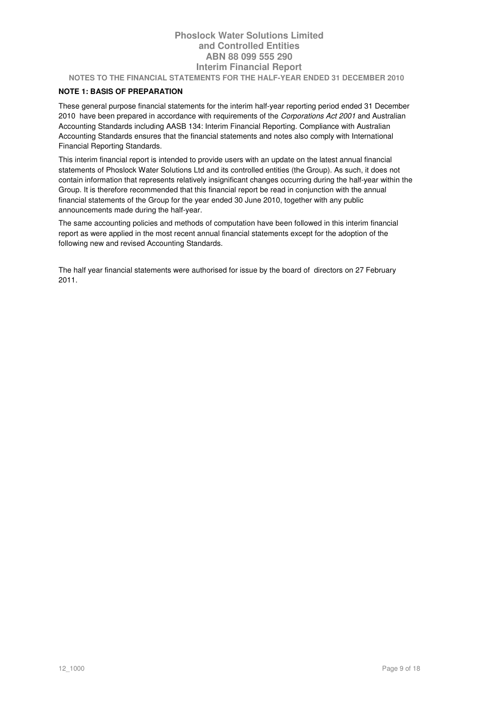## **Phoslock Water Solutions Limited and Controlled Entities ABN 88 099 555 290 Interim Financial Report NOTES TO THE FINANCIAL STATEMENTS FOR THE HALF-YEAR ENDED 31 DECEMBER 2010**

## **NOTE 1: BASIS OF PREPARATION**

These general purpose financial statements for the interim half-year reporting period ended 31 December 2010 have been prepared in accordance with requirements of the Corporations Act 2001 and Australian Accounting Standards including AASB 134: Interim Financial Reporting. Compliance with Australian Accounting Standards ensures that the financial statements and notes also comply with International Financial Reporting Standards.

This interim financial report is intended to provide users with an update on the latest annual financial statements of Phoslock Water Solutions Ltd and its controlled entities (the Group). As such, it does not contain information that represents relatively insignificant changes occurring during the half-year within the Group. It is therefore recommended that this financial report be read in conjunction with the annual financial statements of the Group for the year ended 30 June 2010, together with any public announcements made during the half-year.

The same accounting policies and methods of computation have been followed in this interim financial report as were applied in the most recent annual financial statements except for the adoption of the following new and revised Accounting Standards.

The half year financial statements were authorised for issue by the board of directors on 27 February 2011.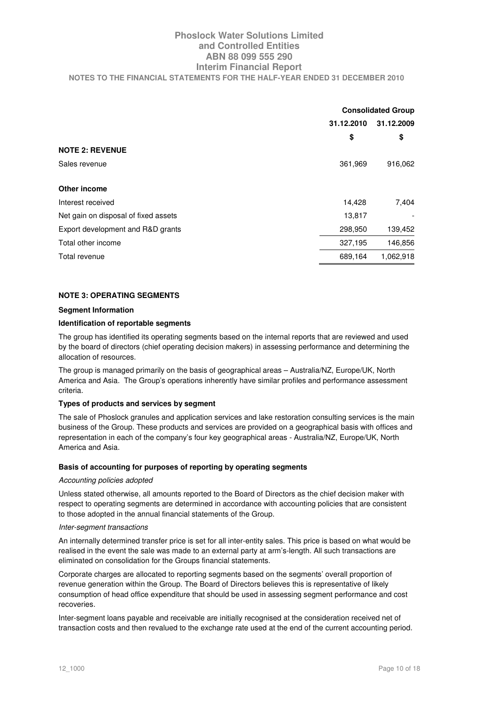# **Phoslock Water Solutions Limited and Controlled Entities ABN 88 099 555 290 Interim Financial Report NOTES TO THE FINANCIAL STATEMENTS FOR THE HALF-YEAR ENDED 31 DECEMBER 2010**

|                                      | <b>Consolidated Group</b> |           |  |
|--------------------------------------|---------------------------|-----------|--|
|                                      | 31.12.2010                |           |  |
|                                      | \$                        | \$        |  |
| <b>NOTE 2: REVENUE</b>               |                           |           |  |
| Sales revenue                        | 361,969                   | 916,062   |  |
| Other income                         |                           |           |  |
| Interest received                    | 14,428                    | 7,404     |  |
| Net gain on disposal of fixed assets | 13,817                    |           |  |
| Export development and R&D grants    | 298,950                   | 139,452   |  |
| Total other income                   | 327,195                   | 146,856   |  |
| Total revenue                        | 689,164                   | 1,062,918 |  |

#### **NOTE 3: OPERATING SEGMENTS**

#### **Segment Information**

#### **Identification of reportable segments**

The group has identified its operating segments based on the internal reports that are reviewed and used by the board of directors (chief operating decision makers) in assessing performance and determining the allocation of resources.

The group is managed primarily on the basis of geographical areas – Australia/NZ, Europe/UK, North America and Asia. The Group's operations inherently have similar profiles and performance assessment criteria.

#### **Types of products and services by segment**

The sale of Phoslock granules and application services and lake restoration consulting services is the main business of the Group. These products and services are provided on a geographical basis with offices and representation in each of the company's four key geographical areas - Australia/NZ, Europe/UK, North America and Asia.

#### **Basis of accounting for purposes of reporting by operating segments**

#### Accounting policies adopted

Unless stated otherwise, all amounts reported to the Board of Directors as the chief decision maker with respect to operating segments are determined in accordance with accounting policies that are consistent to those adopted in the annual financial statements of the Group.

#### Inter-segment transactions

An internally determined transfer price is set for all inter-entity sales. This price is based on what would be realised in the event the sale was made to an external party at arm's-length. All such transactions are eliminated on consolidation for the Groups financial statements.

Corporate charges are allocated to reporting segments based on the segments' overall proportion of revenue generation within the Group. The Board of Directors believes this is representative of likely consumption of head office expenditure that should be used in assessing segment performance and cost recoveries.

Inter-segment loans payable and receivable are initially recognised at the consideration received net of transaction costs and then revalued to the exchange rate used at the end of the current accounting period.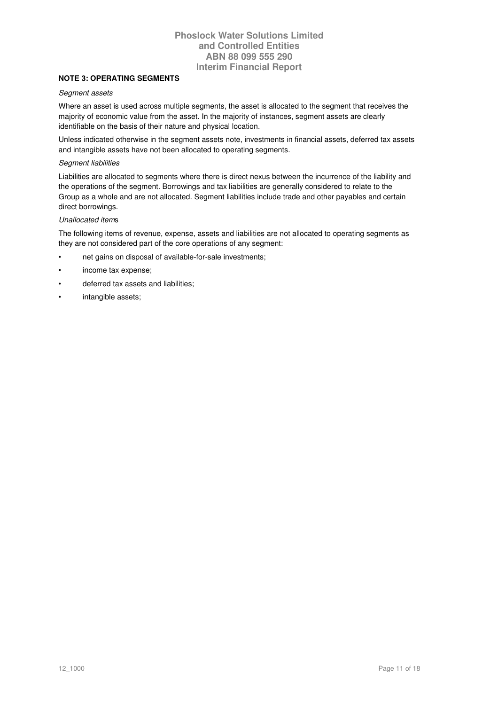## **NOTE 3: OPERATING SEGMENTS**

#### Segment assets

Where an asset is used across multiple segments, the asset is allocated to the segment that receives the majority of economic value from the asset. In the majority of instances, segment assets are clearly identifiable on the basis of their nature and physical location.

Unless indicated otherwise in the segment assets note, investments in financial assets, deferred tax assets and intangible assets have not been allocated to operating segments.

#### Segment liabilities

Liabilities are allocated to segments where there is direct nexus between the incurrence of the liability and the operations of the segment. Borrowings and tax liabilities are generally considered to relate to the Group as a whole and are not allocated. Segment liabilities include trade and other payables and certain direct borrowings.

#### Unallocated items

The following items of revenue, expense, assets and liabilities are not allocated to operating segments as they are not considered part of the core operations of any segment:

- net gains on disposal of available-for-sale investments;
- income tax expense;
- deferred tax assets and liabilities;
- intangible assets;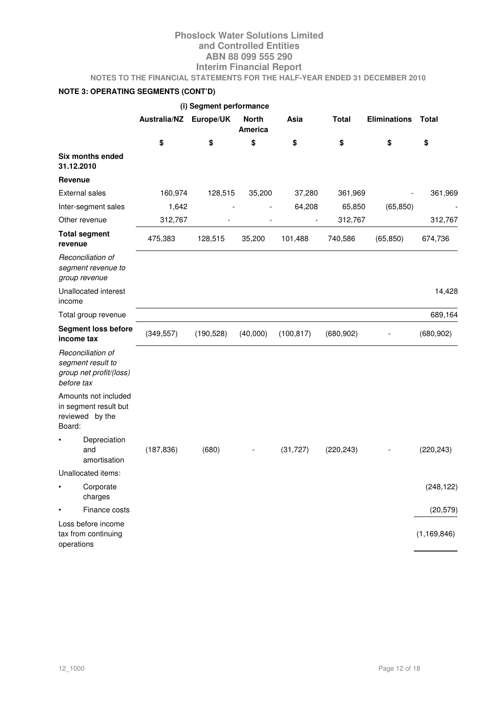**NOTES TO THE FINANCIAL STATEMENTS FOR THE HALF-YEAR ENDED 31 DECEMBER 2010** 

# **NOTE 3: OPERATING SEGMENTS (CONT'D)**

|                                                                                 | (i) Segment performance |            |                         |            |              |                     |               |
|---------------------------------------------------------------------------------|-------------------------|------------|-------------------------|------------|--------------|---------------------|---------------|
|                                                                                 | <b>Australia/NZ</b>     | Europe/UK  | <b>North</b><br>America | Asia       | <b>Total</b> | <b>Eliminations</b> | Total         |
|                                                                                 | \$                      | \$         | \$                      | \$         | \$           | \$                  | \$            |
| Six months ended<br>31.12.2010                                                  |                         |            |                         |            |              |                     |               |
| Revenue                                                                         |                         |            |                         |            |              |                     |               |
| <b>External sales</b>                                                           | 160,974                 | 128,515    | 35,200                  | 37,280     | 361,969      |                     | 361,969       |
| Inter-segment sales                                                             | 1,642                   |            |                         | 64,208     | 65,850       | (65, 850)           |               |
| Other revenue                                                                   | 312,767                 |            |                         |            | 312,767      |                     | 312,767       |
| <b>Total segment</b><br>revenue                                                 | 475,383                 | 128,515    | 35,200                  | 101,488    | 740,586      | (65, 850)           | 674,736       |
| Reconciliation of<br>segment revenue to<br>group revenue                        |                         |            |                         |            |              |                     |               |
| Unallocated interest<br>income                                                  |                         |            |                         |            |              |                     | 14,428        |
| Total group revenue                                                             |                         |            |                         |            |              |                     | 689,164       |
| <b>Segment loss before</b><br>income tax                                        | (349, 557)              | (190, 528) | (40,000)                | (100, 817) | (680, 902)   |                     | (680, 902)    |
| Reconciliation of<br>segment result to<br>group net profit/(loss)<br>before tax |                         |            |                         |            |              |                     |               |
| Amounts not included<br>in segment result but<br>reviewed by the<br>Board:      |                         |            |                         |            |              |                     |               |
| Depreciation<br>and<br>amortisation                                             | (187, 836)              | (680)      |                         | (31, 727)  | (220, 243)   |                     | (220, 243)    |
| Unallocated items:                                                              |                         |            |                         |            |              |                     |               |
| Corporate<br>$\bullet$<br>charges                                               |                         |            |                         |            |              |                     | (248, 122)    |
| Finance costs                                                                   |                         |            |                         |            |              |                     | (20, 579)     |
| Loss before income<br>tax from continuing<br>operations                         |                         |            |                         |            |              |                     | (1, 169, 846) |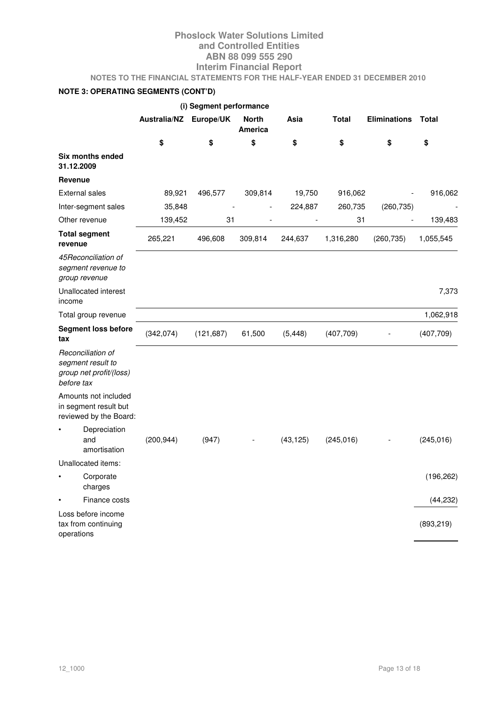**NOTES TO THE FINANCIAL STATEMENTS FOR THE HALF-YEAR ENDED 31 DECEMBER 2010** 

# **NOTE 3: OPERATING SEGMENTS (CONT'D)**

|                                                                                 |                     | (i) Segment performance |                  |           |              |                     |            |
|---------------------------------------------------------------------------------|---------------------|-------------------------|------------------|-----------|--------------|---------------------|------------|
|                                                                                 | <b>Australia/NZ</b> | Europe/UK               | North<br>America | Asia      | <b>Total</b> | <b>Eliminations</b> | Total      |
|                                                                                 | \$                  | \$                      | \$               | \$        | \$           | \$                  | \$         |
| Six months ended<br>31.12.2009                                                  |                     |                         |                  |           |              |                     |            |
| <b>Revenue</b>                                                                  |                     |                         |                  |           |              |                     |            |
| <b>External sales</b>                                                           | 89,921              | 496,577                 | 309,814          | 19,750    | 916,062      |                     | 916,062    |
| Inter-segment sales                                                             | 35,848              |                         |                  | 224,887   | 260,735      | (260, 735)          |            |
| Other revenue                                                                   | 139,452             | 31                      |                  |           | 31           |                     | 139,483    |
| <b>Total segment</b><br>revenue                                                 | 265,221             | 496,608                 | 309,814          | 244,637   | 1,316,280    | (260, 735)          | 1,055,545  |
| 45Reconciliation of<br>segment revenue to<br>group revenue                      |                     |                         |                  |           |              |                     |            |
| Unallocated interest<br>income                                                  |                     |                         |                  |           |              |                     | 7,373      |
| Total group revenue                                                             |                     |                         |                  |           |              |                     | 1,062,918  |
| <b>Segment loss before</b><br>tax                                               | (342, 074)          | (121, 687)              | 61,500           | (5, 448)  | (407, 709)   |                     | (407, 709) |
| Reconciliation of<br>segment result to<br>group net profit/(loss)<br>before tax |                     |                         |                  |           |              |                     |            |
| Amounts not included<br>in segment result but<br>reviewed by the Board:         |                     |                         |                  |           |              |                     |            |
| Depreciation<br>and<br>amortisation                                             | (200, 944)          | (947)                   |                  | (43, 125) | (245, 016)   |                     | (245, 016) |
| Unallocated items:                                                              |                     |                         |                  |           |              |                     |            |
| Corporate<br>charges                                                            |                     |                         |                  |           |              |                     | (196, 262) |
| Finance costs                                                                   |                     |                         |                  |           |              |                     | (44, 232)  |
| Loss before income<br>tax from continuing<br>operations                         |                     |                         |                  |           |              |                     | (893, 219) |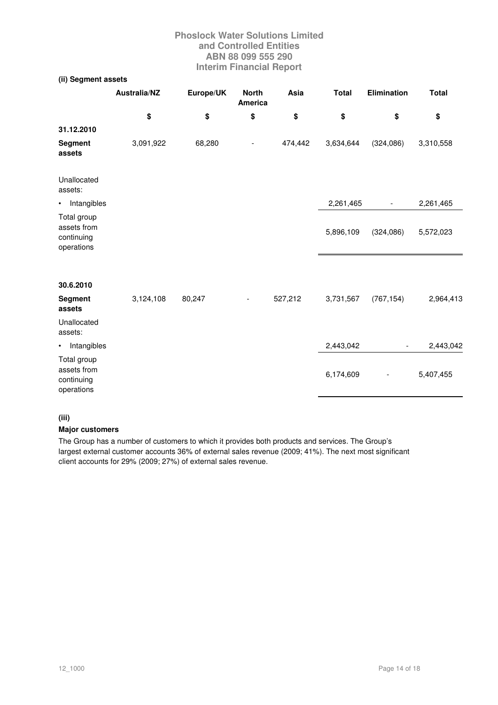# **(ii) Segment assets**

|                                                        | <b>Australia/NZ</b> | Europe/UK | <b>North</b><br>America | Asia    | <b>Total</b> | <b>Elimination</b>       | <b>Total</b> |
|--------------------------------------------------------|---------------------|-----------|-------------------------|---------|--------------|--------------------------|--------------|
|                                                        | \$                  | \$        | \$                      | \$      | \$           | \$                       | \$           |
| 31.12.2010                                             |                     |           |                         |         |              |                          |              |
| Segment<br>assets                                      | 3,091,922           | 68,280    |                         | 474,442 | 3,634,644    | (324,086)                | 3,310,558    |
| Unallocated<br>assets:                                 |                     |           |                         |         |              |                          |              |
| • Intangibles                                          |                     |           |                         |         | 2,261,465    | $\overline{\phantom{a}}$ | 2,261,465    |
| Total group<br>assets from<br>continuing<br>operations |                     |           |                         |         | 5,896,109    | (324, 086)               | 5,572,023    |
| 30.6.2010                                              |                     |           |                         |         |              |                          |              |
| <b>Segment</b><br>assets                               | 3,124,108           | 80,247    |                         | 527,212 | 3,731,567    | (767, 154)               | 2,964,413    |
| Unallocated<br>assets:                                 |                     |           |                         |         |              |                          |              |
| • Intangibles                                          |                     |           |                         |         | 2,443,042    |                          | 2,443,042    |
| Total group<br>assets from<br>continuing<br>operations |                     |           |                         |         | 6,174,609    |                          | 5,407,455    |

## **(iii)**

#### **Major customers**

The Group has a number of customers to which it provides both products and services. The Group's largest external customer accounts 36% of external sales revenue (2009; 41%). The next most significant client accounts for 29% (2009; 27%) of external sales revenue.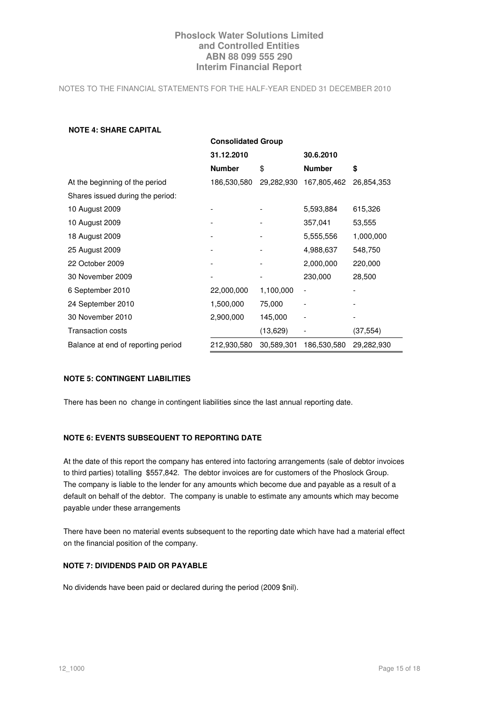NOTES TO THE FINANCIAL STATEMENTS FOR THE HALF-YEAR ENDED 31 DECEMBER 2010

#### **NOTE 4: SHARE CAPITAL**

|                                    | <b>Consolidated Group</b> |            |               |            |  |  |  |
|------------------------------------|---------------------------|------------|---------------|------------|--|--|--|
|                                    | 31.12.2010                |            | 30.6.2010     |            |  |  |  |
|                                    | <b>Number</b>             | \$         | <b>Number</b> | \$         |  |  |  |
| At the beginning of the period     | 186,530,580               | 29,282,930 | 167,805,462   | 26,854,353 |  |  |  |
| Shares issued during the period:   |                           |            |               |            |  |  |  |
| 10 August 2009                     |                           |            | 5,593,884     | 615,326    |  |  |  |
| 10 August 2009                     |                           |            | 357,041       | 53,555     |  |  |  |
| 18 August 2009                     |                           |            | 5,555,556     | 1,000,000  |  |  |  |
| 25 August 2009                     |                           |            | 4,988,637     | 548,750    |  |  |  |
| 22 October 2009                    |                           |            | 2,000,000     | 220,000    |  |  |  |
| 30 November 2009                   |                           |            | 230,000       | 28,500     |  |  |  |
| 6 September 2010                   | 22,000,000                | 1,100,000  |               |            |  |  |  |
| 24 September 2010                  | 1,500,000                 | 75,000     |               |            |  |  |  |
| 30 November 2010                   | 2,900,000                 | 145,000    |               |            |  |  |  |
| Transaction costs                  |                           | (13,629)   |               | (37, 554)  |  |  |  |
| Balance at end of reporting period | 212,930,580               | 30,589,301 | 186,530,580   | 29,282,930 |  |  |  |

#### **NOTE 5: CONTINGENT LIABILITIES**

There has been no change in contingent liabilities since the last annual reporting date.

### **NOTE 6: EVENTS SUBSEQUENT TO REPORTING DATE**

At the date of this report the company has entered into factoring arrangements (sale of debtor invoices to third parties) totalling \$557,842. The debtor invoices are for customers of the Phoslock Group. The company is liable to the lender for any amounts which become due and payable as a result of a default on behalf of the debtor. The company is unable to estimate any amounts which may become payable under these arrangements

There have been no material events subsequent to the reporting date which have had a material effect on the financial position of the company.

## **NOTE 7: DIVIDENDS PAID OR PAYABLE**

No dividends have been paid or declared during the period (2009 \$nil).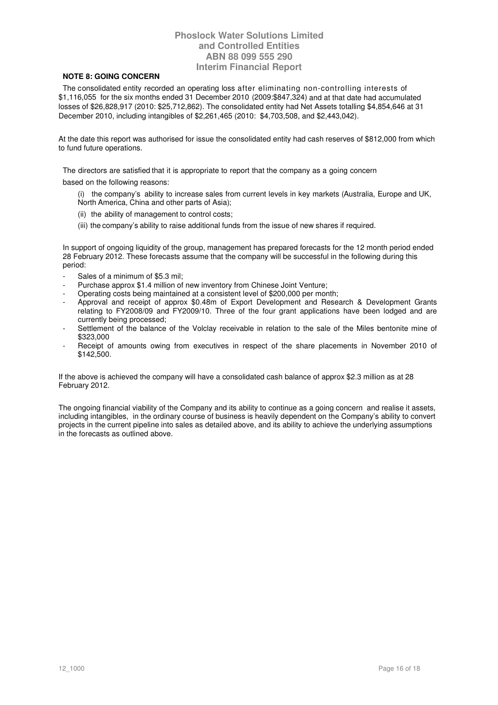### **NOTE 8: GOING CONCERN**

 The consolidated entity recorded an operating loss after eliminating non-controlling interests of \$1,116,055 for the six months ended 31 December 2010 (2009:\$847,324) and at that date had accumulated losses of \$26,828,917 (2010: \$25,712,862). The consolidated entity had Net Assets totalling \$4,854,646 at 31 December 2010, including intangibles of \$2,261,465 (2010: \$4,703,508, and \$2,443,042).

At the date this report was authorised for issue the consolidated entity had cash reserves of \$812,000 from which to fund future operations.

The directors are satisfied that it is appropriate to report that the company as a going concern

based on the following reasons:

- (i) the company's ability to increase sales from current levels in key markets (Australia, Europe and UK, North America, China and other parts of Asia);
- (ii) the ability of management to control costs;
- (iii) the company's ability to raise additional funds from the issue of new shares if required.

In support of ongoing liquidity of the group, management has prepared forecasts for the 12 month period ended 28 February 2012. These forecasts assume that the company will be successful in the following during this period:

- Sales of a minimum of \$5.3 mil:
- Purchase approx \$1.4 million of new inventory from Chinese Joint Venture;
- Operating costs being maintained at a consistent level of \$200,000 per month;
- Approval and receipt of approx \$0.48m of Export Development and Research & Development Grants relating to FY2008/09 and FY2009/10. Three of the four grant applications have been lodged and are currently being processed;
- Settlement of the balance of the Volclay receivable in relation to the sale of the Miles bentonite mine of \$323,000
- Receipt of amounts owing from executives in respect of the share placements in November 2010 of \$142,500.

If the above is achieved the company will have a consolidated cash balance of approx \$2.3 million as at 28 February 2012.

The ongoing financial viability of the Company and its ability to continue as a going concern and realise it assets, including intangibles, in the ordinary course of business is heavily dependent on the Company's ability to convert projects in the current pipeline into sales as detailed above, and its ability to achieve the underlying assumptions in the forecasts as outlined above.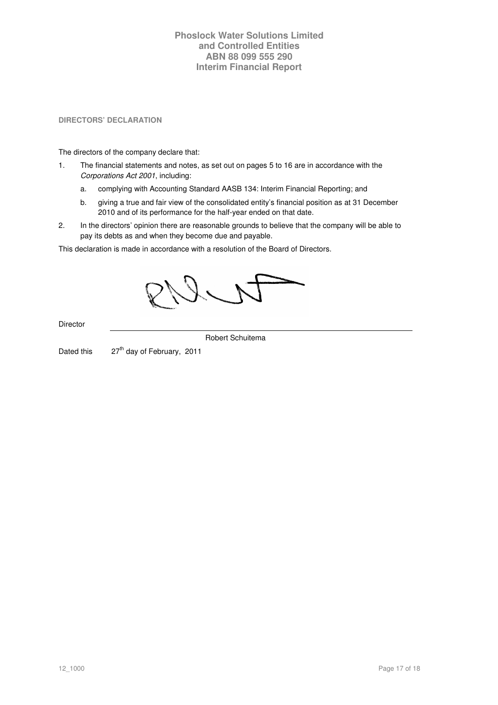**DIRECTORS' DECLARATION** 

The directors of the company declare that:

- 1. The financial statements and notes, as set out on pages 5 to 16 are in accordance with the Corporations Act 2001, including:
	- a. complying with Accounting Standard AASB 134: Interim Financial Reporting; and
	- b. giving a true and fair view of the consolidated entity's financial position as at 31 December 2010 and of its performance for the half-year ended on that date.
- 2. In the directors' opinion there are reasonable grounds to believe that the company will be able to pay its debts as and when they become due and payable.

This declaration is made in accordance with a resolution of the Board of Directors.

Director

Robert Schuitema

Dated this  $27<sup>th</sup>$  day of February, 2011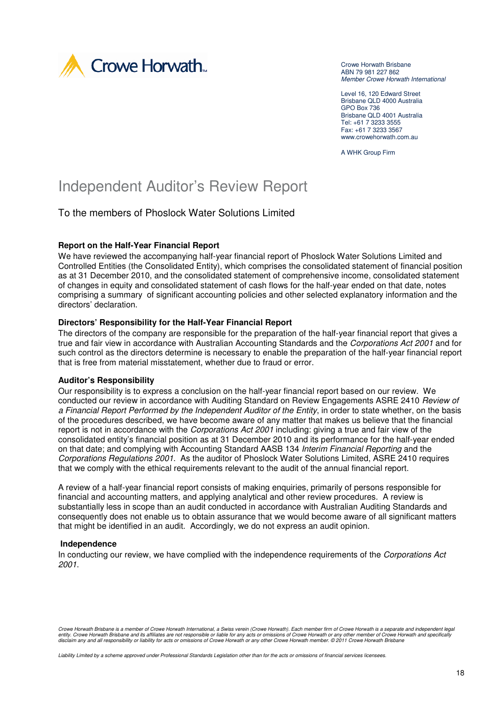

Crowe Horwath Brisbane ABN 79 981 227 862 Member Crowe Horwath International

Level 16, 120 Edward Street Brisbane QLD 4000 Australia GPO Box 736 Brisbane QLD 4001 Australia Tel: +61 7 3233 3555 Fax: +61 7 3233 3567 www.crowehorwath.com.au

A WHK Group Firm

# Independent Auditor's Review Report

To the members of Phoslock Water Solutions Limited

## **Report on the Half-Year Financial Report**

We have reviewed the accompanying half-year financial report of Phoslock Water Solutions Limited and Controlled Entities (the Consolidated Entity), which comprises the consolidated statement of financial position as at 31 December 2010, and the consolidated statement of comprehensive income, consolidated statement of changes in equity and consolidated statement of cash flows for the half-year ended on that date, notes comprising a summary of significant accounting policies and other selected explanatory information and the directors' declaration.

## **Directors' Responsibility for the Half-Year Financial Report**

The directors of the company are responsible for the preparation of the half-year financial report that gives a true and fair view in accordance with Australian Accounting Standards and the Corporations Act 2001 and for such control as the directors determine is necessary to enable the preparation of the half-year financial report that is free from material misstatement, whether due to fraud or error.

#### **Auditor's Responsibility**

Our responsibility is to express a conclusion on the half-year financial report based on our review. We conducted our review in accordance with Auditing Standard on Review Engagements ASRE 2410 Review of a Financial Report Performed by the Independent Auditor of the Entity, in order to state whether, on the basis of the procedures described, we have become aware of any matter that makes us believe that the financial report is not in accordance with the *Corporations Act 2001* including: giving a true and fair view of the consolidated entity's financial position as at 31 December 2010 and its performance for the half-year ended on that date; and complying with Accounting Standard AASB 134 Interim Financial Reporting and the Corporations Regulations 2001. As the auditor of Phoslock Water Solutions Limited, ASRE 2410 requires that we comply with the ethical requirements relevant to the audit of the annual financial report.

A review of a half-year financial report consists of making enquiries, primarily of persons responsible for financial and accounting matters, and applying analytical and other review procedures. A review is substantially less in scope than an audit conducted in accordance with Australian Auditing Standards and consequently does not enable us to obtain assurance that we would become aware of all significant matters that might be identified in an audit. Accordingly, we do not express an audit opinion.

### **Independence**

In conducting our review, we have complied with the independence requirements of the Corporations Act 2001.

Crowe Horwath Brisbane is a member of Crowe Horwath International, a Swiss verein (Crowe Horwath). Each member firm of Crowe Horwath is a separate and independent legal<br>entity. Crowe Horwath Brisbane and its affiliates are

Liability Limited by a scheme approved under Professional Standards Legislation other than for the acts or omissions of financial services licensees.